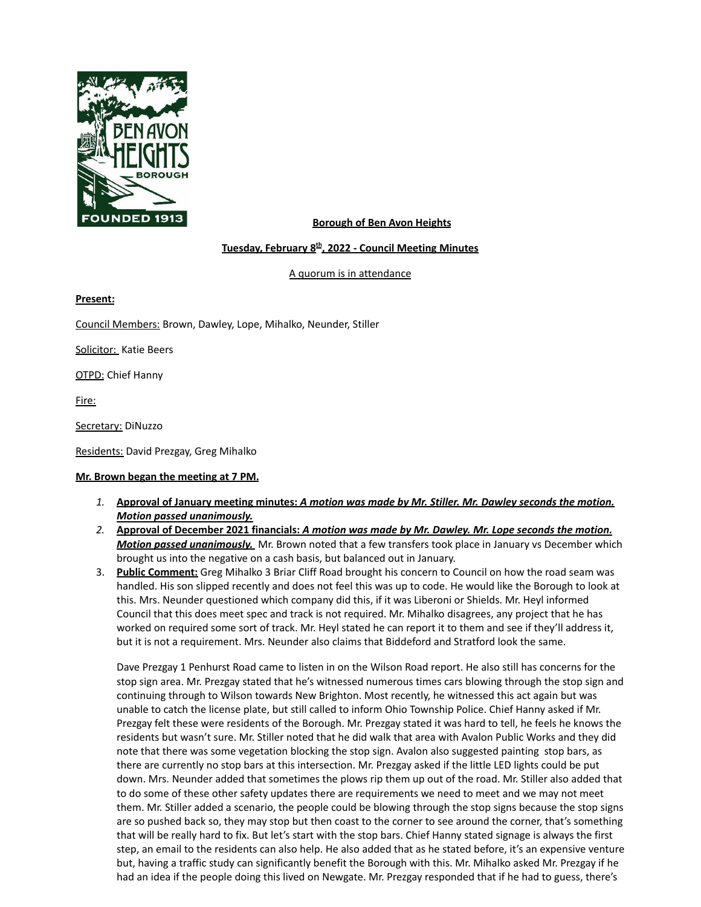

### **Borough of Ben Avon Heights**

### **Tuesday, February 8 th , 2022 - Council Meeting Minutes**

A quorum is in attendance

**Present:**

Council Members: Brown, Dawley, Lope, Mihalko, Neunder, Stiller

Solicitor: Katie Beers

OTPD: Chief Hanny

Fire:

Secretary: DiNuzzo

Residents: David Prezgay, Greg Mihalko

#### **Mr. Brown began the meeting at 7 PM.**

- 1. Approval of January meeting minutes: A motion was made by Mr. Stiller. Mr. Dawley seconds the motion. *Motion passed unanimously.*
- 2. Approval of December 2021 financials: A motion was made by Mr. Dawley. Mr. Lope seconds the motion. *Motion passed unanimously.* Mr. Brown noted that a few transfers took place in January vs December which brought us into the negative on a cash basis, but balanced out in January.
- 3. **Public Comment:** Greg Mihalko 3 Briar Cliff Road brought his concern to Council on how the road seam was handled. His son slipped recently and does not feel this was up to code. He would like the Borough to look at this. Mrs. Neunder questioned which company did this, if it was Liberoni or Shields. Mr. Heyl informed Council that this does meet spec and track is not required. Mr. Mihalko disagrees, any project that he has worked on required some sort of track. Mr. Heyl stated he can report it to them and see if they'll address it, but it is not a requirement. Mrs. Neunder also claims that Biddeford and Stratford look the same.

Dave Prezgay 1 Penhurst Road came to listen in on the Wilson Road report. He also still has concerns for the stop sign area. Mr. Prezgay stated that he's witnessed numerous times cars blowing through the stop sign and continuing through to Wilson towards New Brighton. Most recently, he witnessed this act again but was unable to catch the license plate, but still called to inform Ohio Township Police. Chief Hanny asked if Mr. Prezgay felt these were residents of the Borough. Mr. Prezgay stated it was hard to tell, he feels he knows the residents but wasn't sure. Mr. Stiller noted that he did walk that area with Avalon Public Works and they did note that there was some vegetation blocking the stop sign. Avalon also suggested painting stop bars, as there are currently no stop bars at this intersection. Mr. Prezgay asked if the little LED lights could be put down. Mrs. Neunder added that sometimes the plows rip them up out of the road. Mr. Stiller also added that to do some of these other safety updates there are requirements we need to meet and we may not meet them. Mr. Stiller added a scenario, the people could be blowing through the stop signs because the stop signs are so pushed back so, they may stop but then coast to the corner to see around the corner, that's something that will be really hard to fix. But let's start with the stop bars. Chief Hanny stated signage is always the first step, an email to the residents can also help. He also added that as he stated before, it's an expensive venture but, having a traffic study can significantly benefit the Borough with this. Mr. Mihalko asked Mr. Prezgay if he had an idea if the people doing this lived on Newgate. Mr. Prezgay responded that if he had to guess, there's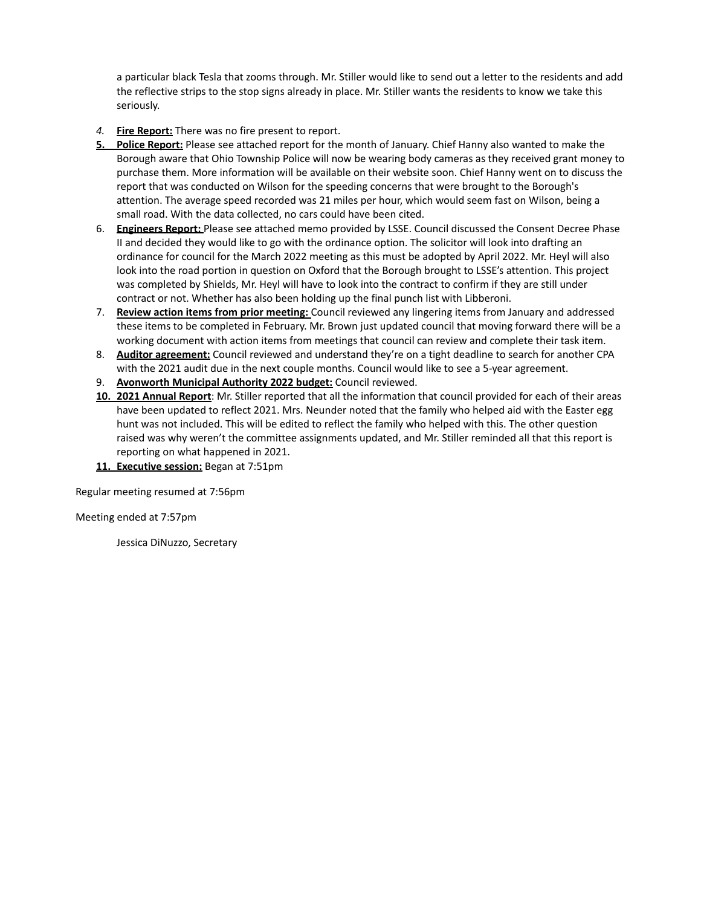a particular black Tesla that zooms through. Mr. Stiller would like to send out a letter to the residents and add the reflective strips to the stop signs already in place. Mr. Stiller wants the residents to know we take this seriously.

- *4.* **Fire Report:** There was no fire present to report.
- **5. Police Report:** Please see attached report for the month of January. Chief Hanny also wanted to make the Borough aware that Ohio Township Police will now be wearing body cameras as they received grant money to purchase them. More information will be available on their website soon. Chief Hanny went on to discuss the report that was conducted on Wilson for the speeding concerns that were brought to the Borough's attention. The average speed recorded was 21 miles per hour, which would seem fast on Wilson, being a small road. With the data collected, no cars could have been cited.
- 6. **Engineers Report:** Please see attached memo provided by LSSE. Council discussed the Consent Decree Phase II and decided they would like to go with the ordinance option. The solicitor will look into drafting an ordinance for council for the March 2022 meeting as this must be adopted by April 2022. Mr. Heyl will also look into the road portion in question on Oxford that the Borough brought to LSSE's attention. This project was completed by Shields, Mr. Heyl will have to look into the contract to confirm if they are still under contract or not. Whether has also been holding up the final punch list with Libberoni.
- 7. **Review action items from prior meeting:** Council reviewed any lingering items from January and addressed these items to be completed in February. Mr. Brown just updated council that moving forward there will be a working document with action items from meetings that council can review and complete their task item.
- 8. **Auditor agreement:** Council reviewed and understand they're on a tight deadline to search for another CPA with the 2021 audit due in the next couple months. Council would like to see a 5-year agreement.
- 9. **Avonworth Municipal Authority 2022 budget:** Council reviewed.
- **10. 2021 Annual Report**: Mr. Stiller reported that all the information that council provided for each of their areas have been updated to reflect 2021. Mrs. Neunder noted that the family who helped aid with the Easter egg hunt was not included. This will be edited to reflect the family who helped with this. The other question raised was why weren't the committee assignments updated, and Mr. Stiller reminded all that this report is reporting on what happened in 2021.
- **11. Executive session:** Began at 7:51pm

Regular meeting resumed at 7:56pm

Meeting ended at 7:57pm

Jessica DiNuzzo, Secretary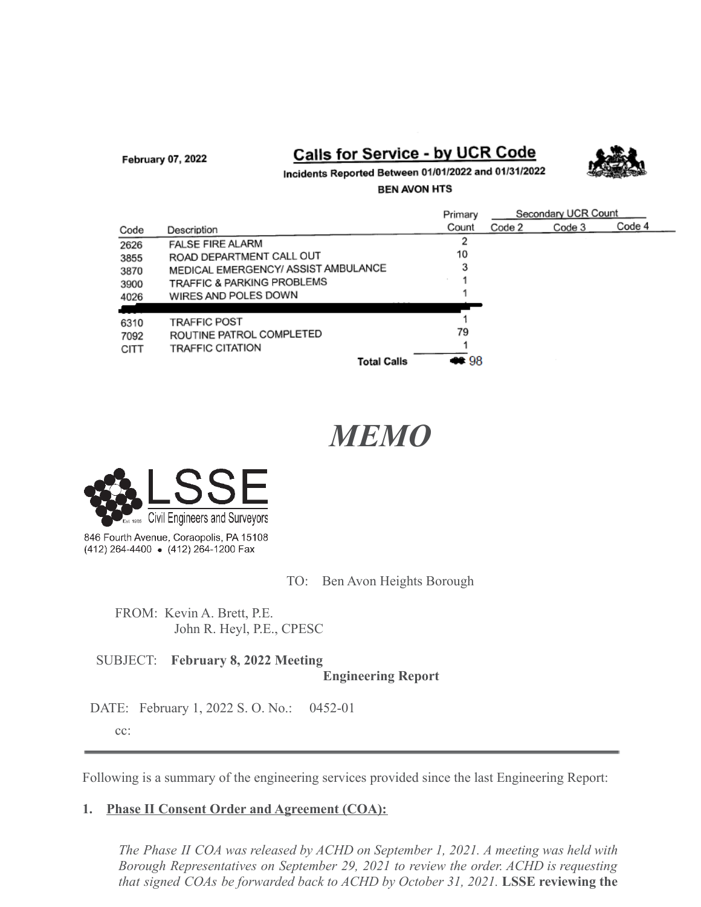February 07, 2022

## Calls for Service - by UCR Code



Incidents Reported Between 01/01/2022 and 01/31/2022

**BEN AVON HTS** 

|      |                                     | Primary | Secondary UCR Count |        |        |
|------|-------------------------------------|---------|---------------------|--------|--------|
| Code | Description                         | Count   | Code 2              | Code 3 | Code 4 |
| 2626 | <b>FALSE FIRE ALARM</b>             | 2       |                     |        |        |
| 3855 | ROAD DEPARTMENT CALL OUT            | 10      |                     |        |        |
| 3870 | MEDICAL EMERGENCY/ ASSIST AMBULANCE | 3       |                     |        |        |
| 3900 | TRAFFIC & PARKING PROBLEMS          |         |                     |        |        |
| 4026 | WIRES AND POLES DOWN                |         |                     |        |        |
|      |                                     |         |                     |        |        |
| 6310 | <b>TRAFFIC POST</b>                 |         |                     |        |        |
| 7092 | ROUTINE PATROL COMPLETED            | 79      |                     |        |        |
| CITT | <b>TRAFFIC CITATION</b>             |         |                     |        |        |
|      | <b>Total Calls</b>                  | CC 98   |                     |        |        |

# *MEMO*



846 Fourth Avenue, Coraopolis, PA 15108 (412) 264-4400 • (412) 264-1200 Fax

TO: Ben Avon Heights Borough

FROM: Kevin A. Brett, P.E. John R. Heyl, P.E., CPESC

SUBJECT: **February 8, 2022 Meeting Engineering Report**

DATE: February 1, 2022 S. O. No.: 0452-01

cc:

Following is a summary of the engineering services provided since the last Engineering Report:

## **1. Phase II Consent Order and Agreement (COA):**

*The Phase II COA was released by ACHD on September 1, 2021. A meeting was held with Borough Representatives on September 29, 2021 to review the order. ACHD is requesting that signed COAs be forwarded back to ACHD by October 31, 2021.* **LSSE reviewing the**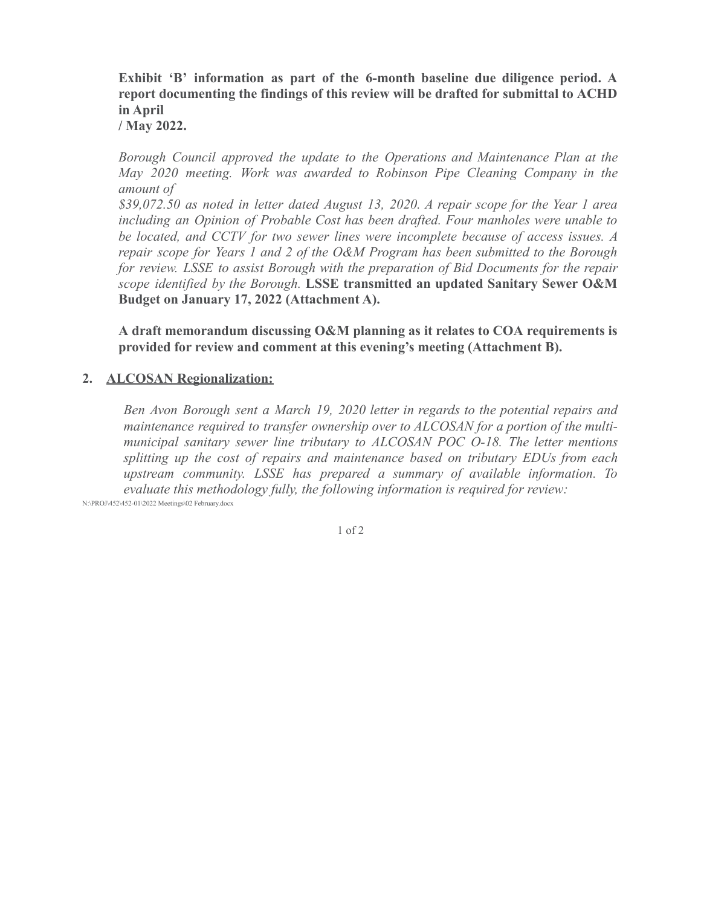**Exhibit 'B' information as part of the 6-month baseline due diligence period. A report documenting the findings of this review will be drafted for submittal to ACHD in April**

**/ May 2022.**

*Borough Council approved the update to the Operations and Maintenance Plan at the May 2020 meeting. Work was awarded to Robinson Pipe Cleaning Company in the amount of*

*\$39,072.50 as noted in letter dated August 13, 2020. A repair scope for the Year 1 area including an Opinion of Probable Cost has been drafted. Four manholes were unable to be located, and CCTV for two sewer lines were incomplete because of access issues. A repair scope for Years 1 and 2 of the O&M Program has been submitted to the Borough for review. LSSE to assist Borough with the preparation of Bid Documents for the repair scope identified by the Borough.* **LSSE transmitted an updated Sanitary Sewer O&M Budget on January 17, 2022 (Attachment A).**

**A draft memorandum discussing O&M planning as it relates to COA requirements is provided for review and comment at this evening's meeting (Attachment B).**

### **2. ALCOSAN Regionalization:**

*Ben Avon Borough sent a March 19, 2020 letter in regards to the potential repairs and maintenance required to transfer ownership over to ALCOSAN for a portion of the multimunicipal sanitary sewer line tributary to ALCOSAN POC O-18. The letter mentions splitting up the cost of repairs and maintenance based on tributary EDUs from each upstream community. LSSE has prepared a summary of available information. To evaluate this methodology fully, the following information is required for review:*

N:\PROJ\452\452-01\2022 Meetings\02 February.docx

1 of 2